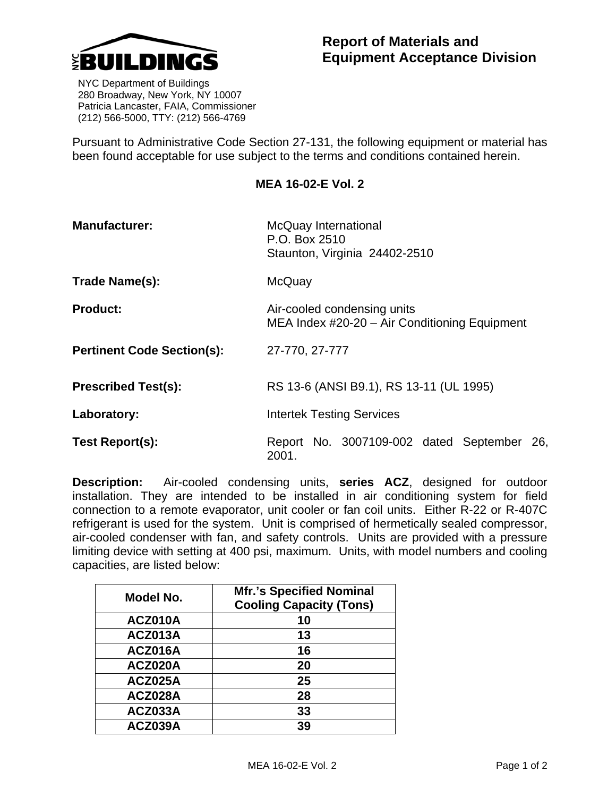

 NYC Department of Buildings 280 Broadway, New York, NY 10007 Patricia Lancaster, FAIA, Commissioner (212) 566-5000, TTY: (212) 566-4769

Pursuant to Administrative Code Section 27-131, the following equipment or material has been found acceptable for use subject to the terms and conditions contained herein.

## **MEA 16-02-E Vol. 2**

| <b>Manufacturer:</b>              | McQuay International<br>P.O. Box 2510<br>Staunton, Virginia 24402-2510       |
|-----------------------------------|------------------------------------------------------------------------------|
| Trade Name(s):                    | McQuay                                                                       |
| <b>Product:</b>                   | Air-cooled condensing units<br>MEA Index #20-20 - Air Conditioning Equipment |
| <b>Pertinent Code Section(s):</b> | 27-770, 27-777                                                               |
| <b>Prescribed Test(s):</b>        | RS 13-6 (ANSI B9.1), RS 13-11 (UL 1995)                                      |
| Laboratory:                       | <b>Intertek Testing Services</b>                                             |
| Test Report(s):                   | Report No. 3007109-002 dated September 26,<br>2001.                          |

**Description:** Air-cooled condensing units, **series ACZ**, designed for outdoor installation. They are intended to be installed in air conditioning system for field connection to a remote evaporator, unit cooler or fan coil units. Either R-22 or R-407C refrigerant is used for the system. Unit is comprised of hermetically sealed compressor, air-cooled condenser with fan, and safety controls. Units are provided with a pressure limiting device with setting at 400 psi, maximum. Units, with model numbers and cooling capacities, are listed below:

| Model No.      | <b>Mfr.'s Specified Nominal</b><br><b>Cooling Capacity (Tons)</b> |
|----------------|-------------------------------------------------------------------|
| ACZ010A        | 10                                                                |
| ACZ013A        | 13                                                                |
| ACZ016A        | 16                                                                |
| ACZ020A        | 20                                                                |
| ACZ025A        | 25                                                                |
| ACZ028A        | 28                                                                |
| ACZ033A        | 33                                                                |
| <b>ACZ039A</b> | 39                                                                |